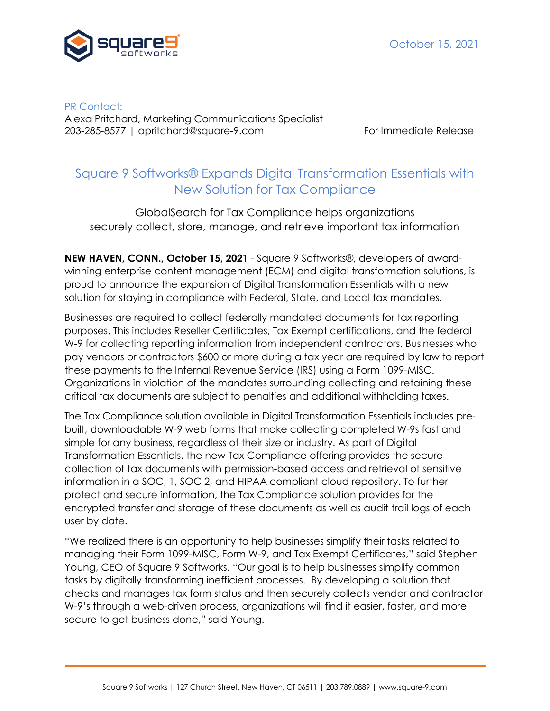

PR Contact: Alexa Pritchard, Marketing Communications Specialist 203-285-8577 | apritchard@square-9.com For Immediate Release

## Square 9 Softworks® Expands Digital Transformation Essentials with New Solution for Tax Compliance

GlobalSearch for Tax Compliance helps organizations securely collect, store, manage, and retrieve important tax information

**NEW HAVEN, CONN., October 15, 2021** - Square 9 Softworks®, developers of awardwinning enterprise content management (ECM) and digital transformation solutions, is proud to announce the expansion of Digital Transformation Essentials with a new solution for staying in compliance with Federal, State, and Local tax mandates.

Businesses are required to collect federally mandated documents for tax reporting purposes. This includes Reseller Certificates, Tax Exempt certifications, and the federal W-9 for collecting reporting information from independent contractors. Businesses who pay vendors or contractors \$600 or more during a tax year are required by law to report these payments to the Internal Revenue Service (IRS) using a Form 1099-MISC. Organizations in violation of the mandates surrounding collecting and retaining these critical tax documents are subject to penalties and additional withholding taxes.

The Tax Compliance solution available in Digital Transformation Essentials includes prebuilt, downloadable W-9 web forms that make collecting completed W-9s fast and simple for any business, regardless of their size or industry. As part of Digital Transformation Essentials, the new Tax Compliance offering provides the secure collection of tax documents with permission-based access and retrieval of sensitive information in a SOC, 1, SOC 2, and HIPAA compliant cloud repository. To further protect and secure information, the Tax Compliance solution provides for the encrypted transfer and storage of these documents as well as audit trail logs of each user by date.

"We realized there is an opportunity to help businesses simplify their tasks related to managing their Form 1099-MISC, Form W-9, and Tax Exempt Certificates," said Stephen Young, CEO of Square 9 Softworks. "Our goal is to help businesses simplify common tasks by digitally transforming inefficient processes. By developing a solution that checks and manages tax form status and then securely collects vendor and contractor W-9's through a web-driven process, organizations will find it easier, faster, and more secure to get business done," said Young.